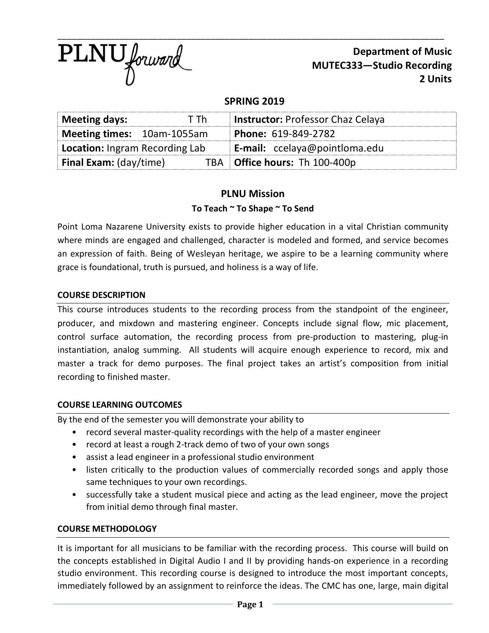

**Department of Music MUTEC333—Studio Recording 2 Units**

## **SPRING 2019**

| Meeting days:<br>T Th          |  | <b>Instructor: Professor Chaz Celaya</b> |  |
|--------------------------------|--|------------------------------------------|--|
| Meeting times: 10am-1055am     |  | Phone: 619-849-2782                      |  |
| Location: Ingram Recording Lab |  | <b>E-mail:</b> ccelaya@pointloma.edu     |  |
| <b>Final Exam:</b> (day/time)  |  | TBA   Office hours: Th 100-400p          |  |

# **PLNU Mission**

### **To Teach ~ To Shape ~ To Send**

Point Loma Nazarene University exists to provide higher education in a vital Christian community where minds are engaged and challenged, character is modeled and formed, and service becomes an expression of faith. Being of Wesleyan heritage, we aspire to be a learning community where grace is foundational, truth is pursued, and holiness is a way of life.

#### **COURSE DESCRIPTION**

This course introduces students to the recording process from the standpoint of the engineer, producer, and mixdown and mastering engineer. Concepts include signal flow, mic placement, control surface automation, the recording process from pre-production to mastering, plug-in instantiation, analog summing. All students will acquire enough experience to record, mix and master a track for demo purposes. The final project takes an artist's composition from initial recording to finished master.

#### **COURSE LEARNING OUTCOMES**

By the end of the semester you will demonstrate your ability to

- record several master-quality recordings with the help of a master engineer
- record at least a rough 2-track demo of two of your own songs
- assist a lead engineer in a professional studio environment
- listen critically to the production values of commercially recorded songs and apply those same techniques to your own recordings.
- successfully take a student musical piece and acting as the lead engineer, move the project from initial demo through final master.

#### **COURSE METHODOLOGY**

It is important for all musicians to be familiar with the recording process. This course will build on the concepts established in Digital Audio I and II by providing hands-on experience in a recording studio environment. This recording course is designed to introduce the most important concepts, immediately followed by an assignment to reinforce the ideas. The CMC has one, large, main digital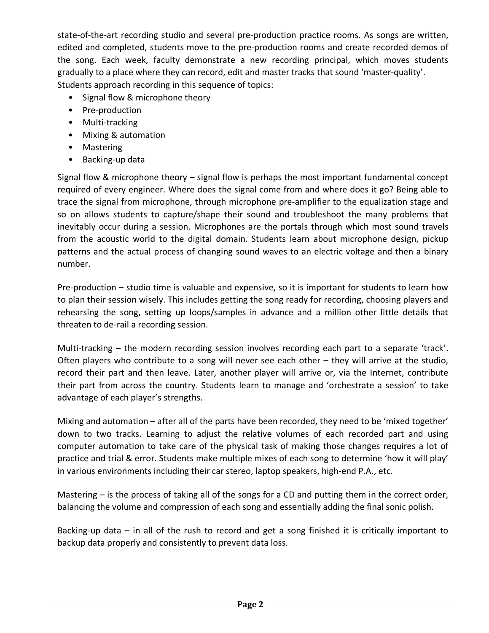state-of-the-art recording studio and several pre-production practice rooms. As songs are written, edited and completed, students move to the pre-production rooms and create recorded demos of the song. Each week, faculty demonstrate a new recording principal, which moves students gradually to a place where they can record, edit and master tracks that sound 'master-quality'. Students approach recording in this sequence of topics:

- Signal flow & microphone theory
- Pre-production
- Multi-tracking
- Mixing & automation
- Mastering
- Backing-up data

Signal flow & microphone theory – signal flow is perhaps the most important fundamental concept required of every engineer. Where does the signal come from and where does it go? Being able to trace the signal from microphone, through microphone pre-amplifier to the equalization stage and so on allows students to capture/shape their sound and troubleshoot the many problems that inevitably occur during a session. Microphones are the portals through which most sound travels from the acoustic world to the digital domain. Students learn about microphone design, pickup patterns and the actual process of changing sound waves to an electric voltage and then a binary number.

Pre-production – studio time is valuable and expensive, so it is important for students to learn how to plan their session wisely. This includes getting the song ready for recording, choosing players and rehearsing the song, setting up loops/samples in advance and a million other little details that threaten to de-rail a recording session.

Multi-tracking – the modern recording session involves recording each part to a separate 'track'. Often players who contribute to a song will never see each other – they will arrive at the studio, record their part and then leave. Later, another player will arrive or, via the Internet, contribute their part from across the country. Students learn to manage and 'orchestrate a session' to take advantage of each player's strengths.

Mixing and automation – after all of the parts have been recorded, they need to be 'mixed together' down to two tracks. Learning to adjust the relative volumes of each recorded part and using computer automation to take care of the physical task of making those changes requires a lot of practice and trial & error. Students make multiple mixes of each song to determine 'how it will play' in various environments including their car stereo, laptop speakers, high-end P.A., etc.

Mastering – is the process of taking all of the songs for a CD and putting them in the correct order, balancing the volume and compression of each song and essentially adding the final sonic polish.

Backing-up data – in all of the rush to record and get a song finished it is critically important to backup data properly and consistently to prevent data loss.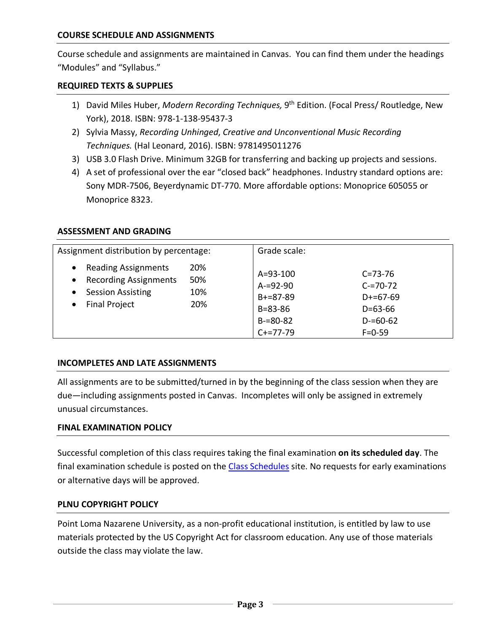### **COURSE SCHEDULE AND ASSIGNMENTS**

Course schedule and assignments are maintained in Canvas. You can find them under the headings "Modules" and "Syllabus."

#### **REQUIRED TEXTS & SUPPLIES**

- 1) David Miles Huber, *Modern Recording Techniques,* 9th Edition. (Focal Press/ Routledge, New York), 2018. ISBN: 978-1-138-95437-3
- 2) Sylvia Massy, *Recording Unhinged*, *Creative and Unconventional Music Recording Techniques.* (Hal Leonard, 2016). ISBN: 9781495011276
- 3) USB 3.0 Flash Drive. Minimum 32GB for transferring and backing up projects and sessions.
- 4) A set of professional over the ear "closed back" headphones. Industry standard options are: Sony MDR-7506, Beyerdynamic DT-770. More affordable options: Monoprice 605055 or Monoprice 8323.

#### **ASSESSMENT AND GRADING**

| Assignment distribution by percentage:                                                                                                                             |                          | Grade scale:                                                                                  |                                                                                                |  |
|--------------------------------------------------------------------------------------------------------------------------------------------------------------------|--------------------------|-----------------------------------------------------------------------------------------------|------------------------------------------------------------------------------------------------|--|
| <b>Reading Assignments</b><br>$\bullet$<br><b>Recording Assignments</b><br>$\bullet$<br><b>Session Assisting</b><br>$\bullet$<br><b>Final Project</b><br>$\bullet$ | 20%<br>50%<br>10%<br>20% | $A = 93 - 100$<br>$A = 92 - 90$<br>$B+=87-89$<br>$B = 83 - 86$<br>$B = 80 - 82$<br>$C+=77-79$ | $C = 73 - 76$<br>$C = 70 - 72$<br>$D+=67-69$<br>$D = 63 - 66$<br>$D = 60 - 62$<br>$F = 0 - 59$ |  |

#### **INCOMPLETES AND LATE ASSIGNMENTS**

All assignments are to be submitted/turned in by the beginning of the class session when they are due—including assignments posted in Canvas. Incompletes will only be assigned in extremely unusual circumstances.

#### **FINAL EXAMINATION POLICY**

Successful completion of this class requires taking the final examination **on its scheduled day**. The final examination schedule is posted on the Class Schedules site. No requests for early examinations or alternative days will be approved.

#### **PLNU COPYRIGHT POLICY**

Point Loma Nazarene University, as a non-profit educational institution, is entitled by law to use materials protected by the US Copyright Act for classroom education. Any use of those materials outside the class may violate the law.